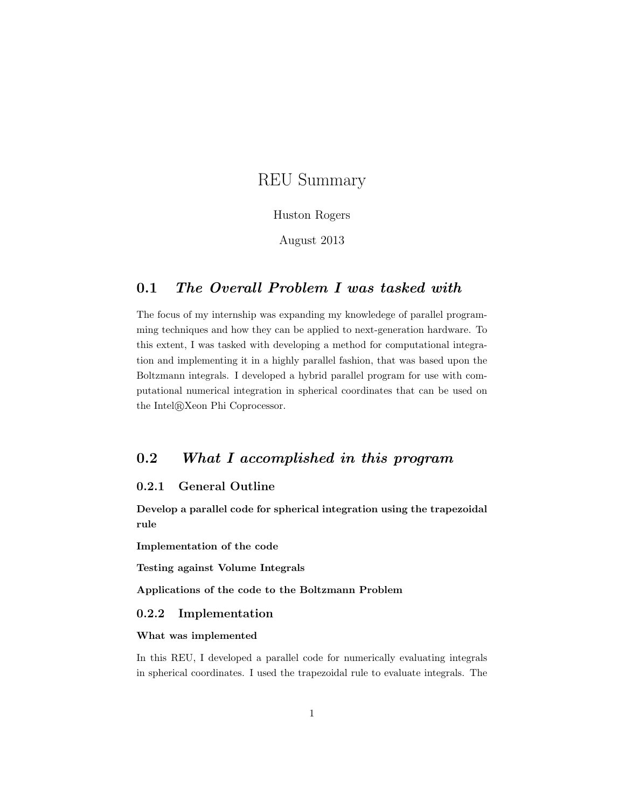# REU Summary

#### Huston Rogers

August 2013

# 0.1 The Overall Problem I was tasked with

The focus of my internship was expanding my knowledege of parallel programming techniques and how they can be applied to next-generation hardware. To this extent, I was tasked with developing a method for computational integration and implementing it in a highly parallel fashion, that was based upon the Boltzmann integrals. I developed a hybrid parallel program for use with computational numerical integration in spherical coordinates that can be used on the Intel®Xeon Phi Coprocessor.

# 0.2 What I accomplished in this program

### 0.2.1 General Outline

Develop a parallel code for spherical integration using the trapezoidal rule

Implementation of the code

Testing against Volume Integrals

Applications of the code to the Boltzmann Problem

#### 0.2.2 Implementation

#### What was implemented

In this REU, I developed a parallel code for numerically evaluating integrals in spherical coordinates. I used the trapezoidal rule to evaluate integrals. The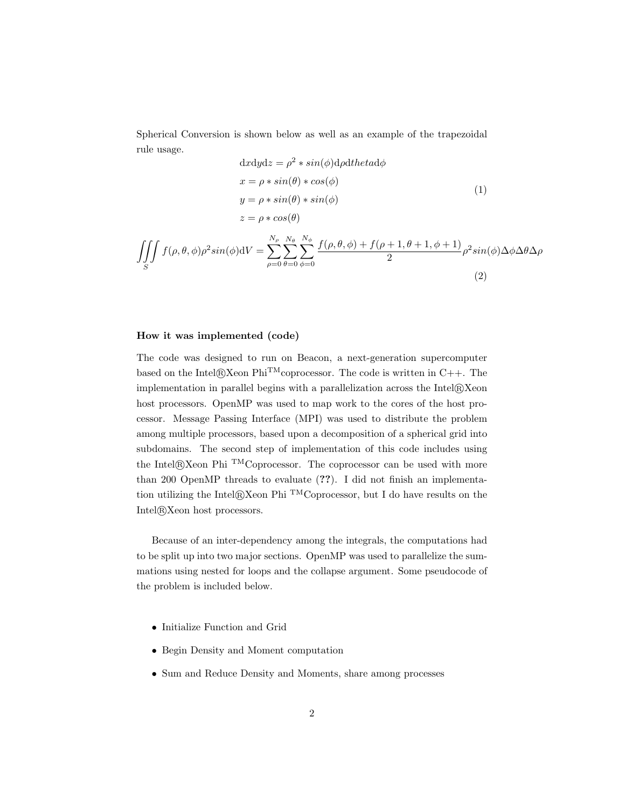Spherical Conversion is shown below as well as an example of the trapezoidal rule usage.

$$
dxdydz = \rho^2 * sin(\phi)d\rho dthetad\phi
$$
  
\n
$$
x = \rho * sin(\theta) * cos(\phi)
$$
  
\n
$$
y = \rho * sin(\theta) * sin(\phi)
$$
  
\n
$$
z = \rho * cos(\theta)
$$
  
\n
$$
\iiint_S f(\rho, \theta, \phi)\rho^2 sin(\phi)dV = \sum_{\rho=0}^{N_{\rho}} \sum_{\theta=0}^{N_{\theta}} \sum_{\phi=0}^{N_{\phi}} \frac{f(\rho, \theta, \phi) + f(\rho + 1, \theta + 1, \phi + 1)}{2} \rho^2 sin(\phi)\Delta\phi\Delta\theta\Delta\rho
$$
  
\n(2)

#### How it was implemented (code)

The code was designed to run on Beacon, a next-generation supercomputer based on the Intel $\mathbb{R}$ Xeon Phi<sup>TM</sup>coprocessor. The code is written in C++. The implementation in parallel begins with a parallelization across the  $Intel@Xeon$ host processors. OpenMP was used to map work to the cores of the host processor. Message Passing Interface (MPI) was used to distribute the problem among multiple processors, based upon a decomposition of a spherical grid into subdomains. The second step of implementation of this code includes using the Intel®Xeon Phi <sup>TM</sup>Coprocessor. The coprocessor can be used with more than 200 OpenMP threads to evaluate (??). I did not finish an implementation utilizing the Intel $\mathbb{R}$ Xeon Phi <sup>TM</sup>Coprocessor, but I do have results on the Intel®Xeon host processors.

Because of an inter-dependency among the integrals, the computations had to be split up into two major sections. OpenMP was used to parallelize the summations using nested for loops and the collapse argument. Some pseudocode of the problem is included below.

- Initialize Function and Grid
- Begin Density and Moment computation
- Sum and Reduce Density and Moments, share among processes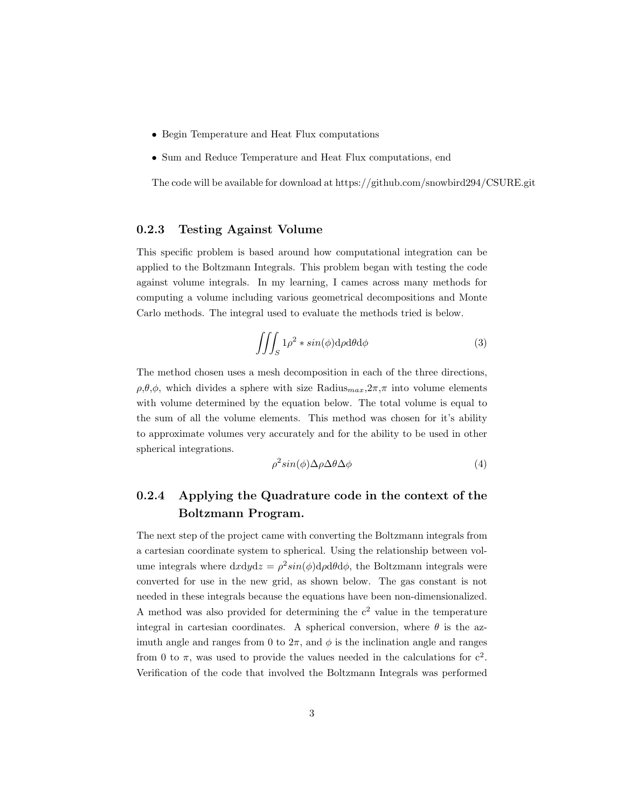- Begin Temperature and Heat Flux computations
- Sum and Reduce Temperature and Heat Flux computations, end

The code will be available for download at https://github.com/snowbird294/CSURE.git

## 0.2.3 Testing Against Volume

This specific problem is based around how computational integration can be applied to the Boltzmann Integrals. This problem began with testing the code against volume integrals. In my learning, I cames across many methods for computing a volume including various geometrical decompositions and Monte Carlo methods. The integral used to evaluate the methods tried is below.

$$
\iiint_{S} 1\rho^{2} * sin(\phi) d\rho d\theta d\phi
$$
 (3)

The method chosen uses a mesh decomposition in each of the three directions,  $\rho$ , $\theta$ , $\phi$ , which divides a sphere with size Radius $_{max}$ , $2\pi$ , $\pi$  into volume elements with volume determined by the equation below. The total volume is equal to the sum of all the volume elements. This method was chosen for it's ability to approximate volumes very accurately and for the ability to be used in other spherical integrations.

$$
\rho^2 \sin(\phi) \Delta \rho \Delta \theta \Delta \phi \tag{4}
$$

# 0.2.4 Applying the Quadrature code in the context of the Boltzmann Program.

The next step of the project came with converting the Boltzmann integrals from a cartesian coordinate system to spherical. Using the relationship between volume integrals where  $dxdydz = \rho^2 sin(\phi) d\rho d\theta d\phi$ , the Boltzmann integrals were converted for use in the new grid, as shown below. The gas constant is not needed in these integrals because the equations have been non-dimensionalized. A method was also provided for determining the  $c<sup>2</sup>$  value in the temperature integral in cartesian coordinates. A spherical conversion, where  $\theta$  is the azimuth angle and ranges from 0 to  $2\pi$ , and  $\phi$  is the inclination angle and ranges from 0 to  $\pi$ , was used to provide the values needed in the calculations for  $c^2$ . Verification of the code that involved the Boltzmann Integrals was performed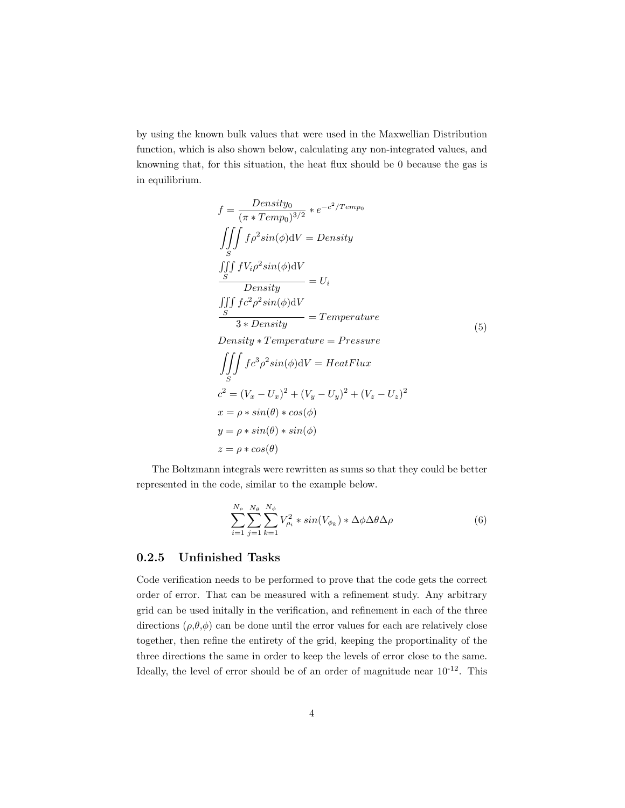by using the known bulk values that were used in the Maxwellian Distribution function, which is also shown below, calculating any non-integrated values, and knowning that, for this situation, the heat flux should be 0 because the gas is in equilibrium.

$$
f = \frac{Density_0}{(\pi * Temp_0)^{3/2}} * e^{-c^2/Temp_0}
$$
  
\n
$$
\iiint_S f \rho^2 sin(\phi) dV = Density
$$
  
\n
$$
\frac{\iiint_S f V_i \rho^2 sin(\phi) dV}{Density} = U_i
$$
  
\n
$$
\frac{\iiint_S f c^2 \rho^2 sin(\phi) dV}{3 * Density} = Temperature
$$
  
\n
$$
\frac{\iiint_S f c^2 \rho^2 sin(\phi) dV}{1 + a + B}
$$
  
\n
$$
Density * Temperature = Pressure
$$
  
\n
$$
\iiint_S f c^3 \rho^2 sin(\phi) dV = HeatFlux
$$
  
\n
$$
c^2 = (V_x - U_x)^2 + (V_y - U_y)^2 + (V_z - U_z)^2
$$
  
\n
$$
x = \rho * sin(\theta) * cos(\phi)
$$
  
\n
$$
y = \rho * sin(\theta) * sin(\phi)
$$
  
\n
$$
z = \rho * cos(\theta)
$$

The Boltzmann integrals were rewritten as sums so that they could be better represented in the code, similar to the example below.

$$
\sum_{i=1}^{N_{\rho}} \sum_{j=1}^{N_{\theta}} \sum_{k=1}^{N_{\phi}} V_{\rho_i}^2 * sin(V_{\phi_k}) * \Delta \phi \Delta \theta \Delta \rho
$$
\n(6)

### 0.2.5 Unfinished Tasks

Code verification needs to be performed to prove that the code gets the correct order of error. That can be measured with a refinement study. Any arbitrary grid can be used initally in the verification, and refinement in each of the three directions  $(\rho, \theta, \phi)$  can be done until the error values for each are relatively close together, then refine the entirety of the grid, keeping the proportinality of the three directions the same in order to keep the levels of error close to the same. Ideally, the level of error should be of an order of magnitude near  $10^{-12}$ . This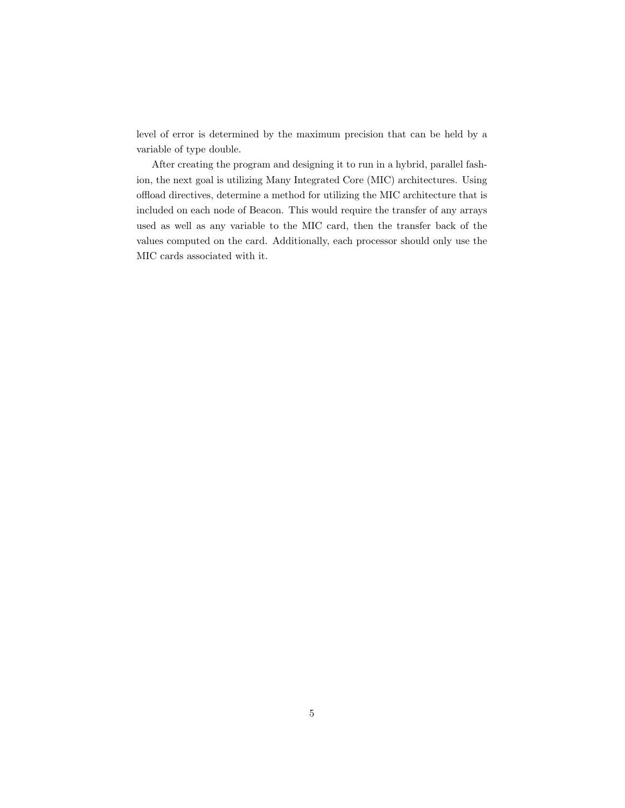level of error is determined by the maximum precision that can be held by a variable of type double.

After creating the program and designing it to run in a hybrid, parallel fashion, the next goal is utilizing Many Integrated Core (MIC) architectures. Using offload directives, determine a method for utilizing the MIC architecture that is included on each node of Beacon. This would require the transfer of any arrays used as well as any variable to the MIC card, then the transfer back of the values computed on the card. Additionally, each processor should only use the MIC cards associated with it.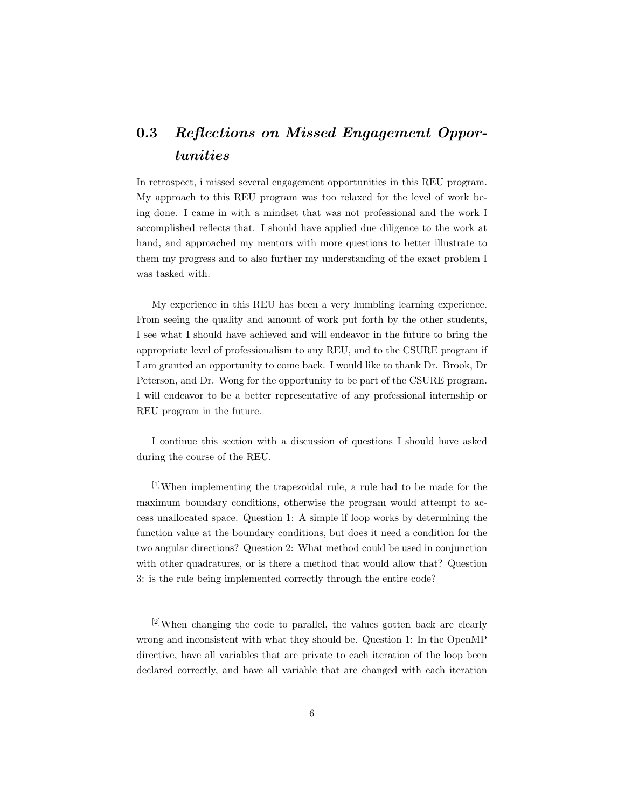# 0.3 Reflections on Missed Engagement Opportunities

In retrospect, i missed several engagement opportunities in this REU program. My approach to this REU program was too relaxed for the level of work being done. I came in with a mindset that was not professional and the work I accomplished reflects that. I should have applied due diligence to the work at hand, and approached my mentors with more questions to better illustrate to them my progress and to also further my understanding of the exact problem I was tasked with.

My experience in this REU has been a very humbling learning experience. From seeing the quality and amount of work put forth by the other students, I see what I should have achieved and will endeavor in the future to bring the appropriate level of professionalism to any REU, and to the CSURE program if I am granted an opportunity to come back. I would like to thank Dr. Brook, Dr Peterson, and Dr. Wong for the opportunity to be part of the CSURE program. I will endeavor to be a better representative of any professional internship or REU program in the future.

I continue this section with a discussion of questions I should have asked during the course of the REU.

[1]When implementing the trapezoidal rule, a rule had to be made for the maximum boundary conditions, otherwise the program would attempt to access unallocated space. Question 1: A simple if loop works by determining the function value at the boundary conditions, but does it need a condition for the two angular directions? Question 2: What method could be used in conjunction with other quadratures, or is there a method that would allow that? Question 3: is the rule being implemented correctly through the entire code?

 $[2]$ When changing the code to parallel, the values gotten back are clearly wrong and inconsistent with what they should be. Question 1: In the OpenMP directive, have all variables that are private to each iteration of the loop been declared correctly, and have all variable that are changed with each iteration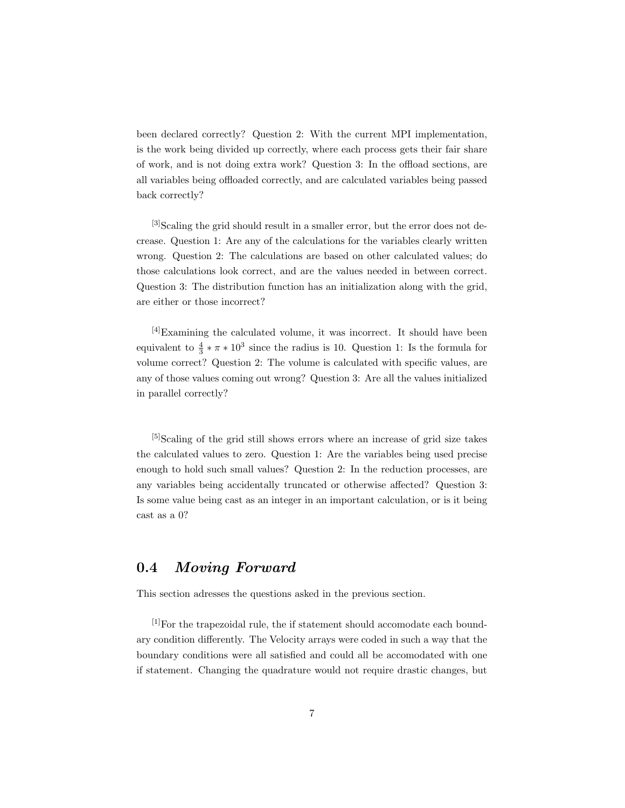been declared correctly? Question 2: With the current MPI implementation, is the work being divided up correctly, where each process gets their fair share of work, and is not doing extra work? Question 3: In the offload sections, are all variables being offloaded correctly, and are calculated variables being passed back correctly?

<sup>[3]</sup>Scaling the grid should result in a smaller error, but the error does not decrease. Question 1: Are any of the calculations for the variables clearly written wrong. Question 2: The calculations are based on other calculated values; do those calculations look correct, and are the values needed in between correct. Question 3: The distribution function has an initialization along with the grid, are either or those incorrect?

[4]Examining the calculated volume, it was incorrect. It should have been equivalent to  $\frac{4}{3} * \pi * 10^3$  since the radius is 10. Question 1: Is the formula for volume correct? Question 2: The volume is calculated with specific values, are any of those values coming out wrong? Question 3: Are all the values initialized in parallel correctly?

[5]Scaling of the grid still shows errors where an increase of grid size takes the calculated values to zero. Question 1: Are the variables being used precise enough to hold such small values? Question 2: In the reduction processes, are any variables being accidentally truncated or otherwise affected? Question 3: Is some value being cast as an integer in an important calculation, or is it being cast as a 0?

## 0.4 Moving Forward

This section adresses the questions asked in the previous section.

[1]For the trapezoidal rule, the if statement should accomodate each boundary condition differently. The Velocity arrays were coded in such a way that the boundary conditions were all satisfied and could all be accomodated with one if statement. Changing the quadrature would not require drastic changes, but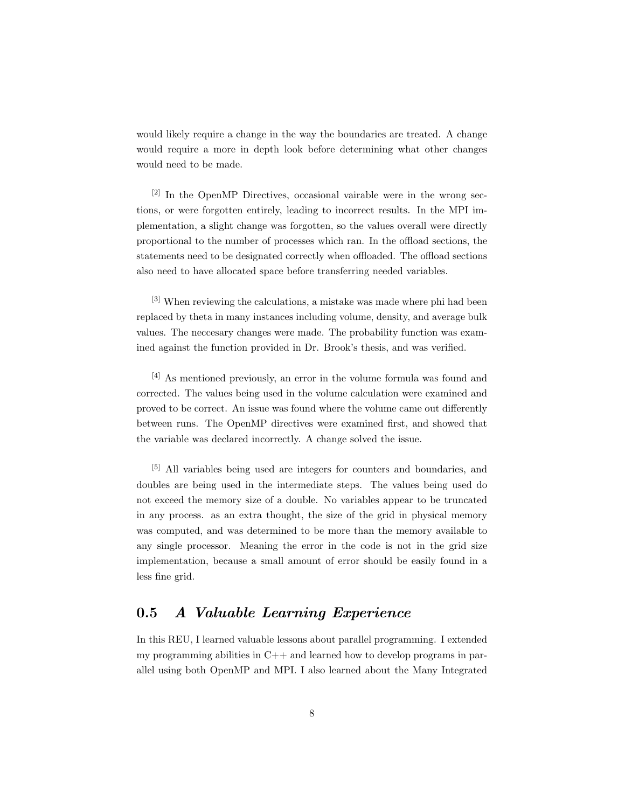would likely require a change in the way the boundaries are treated. A change would require a more in depth look before determining what other changes would need to be made.

[2] In the OpenMP Directives, occasional vairable were in the wrong sections, or were forgotten entirely, leading to incorrect results. In the MPI implementation, a slight change was forgotten, so the values overall were directly proportional to the number of processes which ran. In the offload sections, the statements need to be designated correctly when offloaded. The offload sections also need to have allocated space before transferring needed variables.

[3] When reviewing the calculations, a mistake was made where phi had been replaced by theta in many instances including volume, density, and average bulk values. The neccesary changes were made. The probability function was examined against the function provided in Dr. Brook's thesis, and was verified.

[4] As mentioned previously, an error in the volume formula was found and corrected. The values being used in the volume calculation were examined and proved to be correct. An issue was found where the volume came out differently between runs. The OpenMP directives were examined first, and showed that the variable was declared incorrectly. A change solved the issue.

[5] All variables being used are integers for counters and boundaries, and doubles are being used in the intermediate steps. The values being used do not exceed the memory size of a double. No variables appear to be truncated in any process. as an extra thought, the size of the grid in physical memory was computed, and was determined to be more than the memory available to any single processor. Meaning the error in the code is not in the grid size implementation, because a small amount of error should be easily found in a less fine grid.

# 0.5 A Valuable Learning Experience

In this REU, I learned valuable lessons about parallel programming. I extended my programming abilities in  $C++$  and learned how to develop programs in parallel using both OpenMP and MPI. I also learned about the Many Integrated